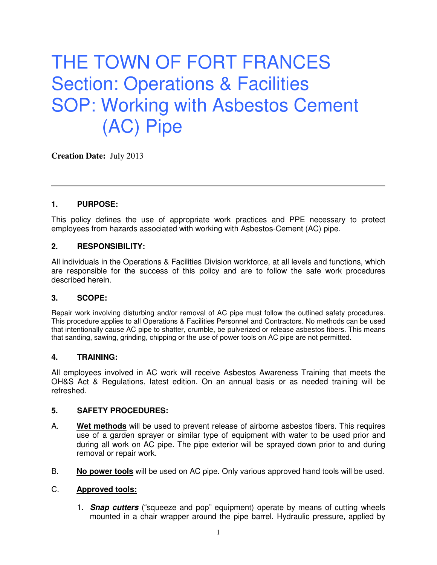# THE TOWN OF FORT FRANCES Section: Operations & Facilities SOP: Working with Asbestos Cement (AC) Pipe

**Creation Date:** July 2013

#### **1. PURPOSE:**

This policy defines the use of appropriate work practices and PPE necessary to protect employees from hazards associated with working with Asbestos-Cement (AC) pipe.

#### **2. RESPONSIBILITY:**

All individuals in the Operations & Facilities Division workforce, at all levels and functions, which are responsible for the success of this policy and are to follow the safe work procedures described herein.

#### **3. SCOPE:**

Repair work involving disturbing and/or removal of AC pipe must follow the outlined safety procedures. This procedure applies to all Operations & Facilities Personnel and Contractors. No methods can be used that intentionally cause AC pipe to shatter, crumble, be pulverized or release asbestos fibers. This means that sanding, sawing, grinding, chipping or the use of power tools on AC pipe are not permitted.

#### **4. TRAINING:**

All employees involved in AC work will receive Asbestos Awareness Training that meets the OH&S Act & Regulations, latest edition. On an annual basis or as needed training will be refreshed.

#### **5. SAFETY PROCEDURES:**

- A. **Wet methods** will be used to prevent release of airborne asbestos fibers. This requires use of a garden sprayer or similar type of equipment with water to be used prior and during all work on AC pipe. The pipe exterior will be sprayed down prior to and during removal or repair work.
- B. **No power tools** will be used on AC pipe. Only various approved hand tools will be used.

## C. **Approved tools:**

1. **Snap cutters** ("squeeze and pop" equipment) operate by means of cutting wheels mounted in a chair wrapper around the pipe barrel. Hydraulic pressure, applied by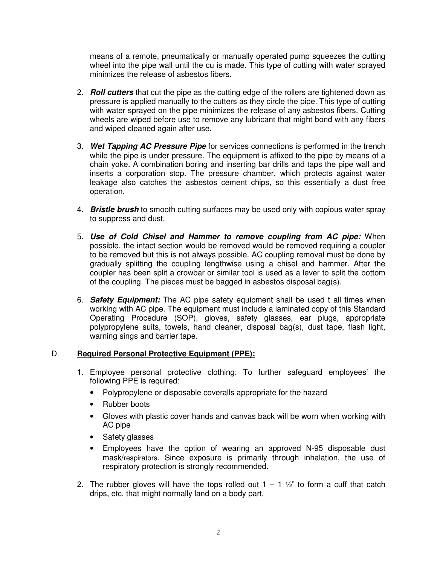means of a remote, pneumatically or manually operated pump squeezes the cutting wheel into the pipe wall until the cu is made. This type of cutting with water sprayed minimizes the release of asbestos fibers.

- 2. **Roll cutters** that cut the pipe as the cutting edge of the rollers are tightened down as pressure is applied manually to the cutters as they circle the pipe. This type of cutting with water sprayed on the pipe minimizes the release of any asbestos fibers. Cutting wheels are wiped before use to remove any lubricant that might bond with any fibers and wiped cleaned again after use.
- 3. **Wet Tapping AC Pressure Pipe** for services connections is performed in the trench while the pipe is under pressure. The equipment is affixed to the pipe by means of a chain yoke. A combination boring and inserting bar drills and taps the pipe wall and inserts a corporation stop. The pressure chamber, which protects against water leakage also catches the asbestos cement chips, so this essentially a dust free operation.
- 4. **Bristle brush** to smooth cutting surfaces may be used only with copious water spray to suppress and dust.
- 5. **Use of Cold Chisel and Hammer to remove coupling from AC pipe:** When possible, the intact section would be removed would be removed requiring a coupler to be removed but this is not always possible. AC coupling removal must be done by gradually splitting the coupling lengthwise using a chisel and hammer. After the coupler has been split a crowbar or similar tool is used as a lever to split the bottom of the coupling. The pieces must be bagged in asbestos disposal bag(s).
- 6. **Safety Equipment:** The AC pipe safety equipment shall be used t all times when working with AC pipe. The equipment must include a laminated copy of this Standard Operating Procedure (SOP), gloves, safety glasses, ear plugs, appropriate polypropylene suits, towels, hand cleaner, disposal bag(s), dust tape, flash light, warning sings and barrier tape.

## D. **Required Personal Protective Equipment (PPE):**

- 1. Employee personal protective clothing: To further safeguard employees' the following PPE is required:
	- Polypropylene or disposable coveralls appropriate for the hazard
	- Rubber boots
	- Gloves with plastic cover hands and canvas back will be worn when working with AC pipe
	- Safety glasses
	- Employees have the option of wearing an approved N-95 disposable dust mask/respirators. Since exposure is primarily through inhalation, the use of respiratory protection is strongly recommended.
- 2. The rubber gloves will have the tops rolled out  $1 1$   $\frac{1}{2}$  to form a cuff that catch drips, etc. that might normally land on a body part.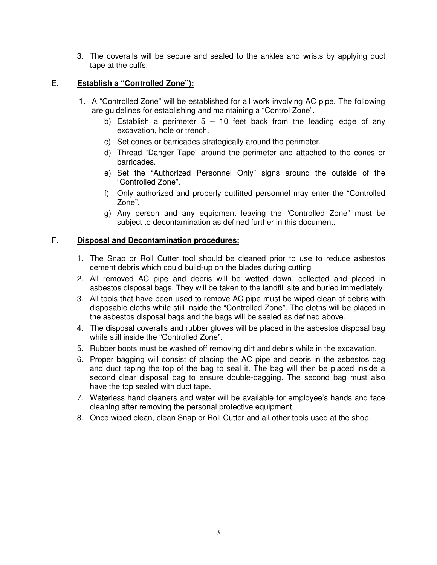3. The coveralls will be secure and sealed to the ankles and wrists by applying duct tape at the cuffs.

## E. **Establish a "Controlled Zone"):**

- 1. A "Controlled Zone" will be established for all work involving AC pipe. The following are guidelines for establishing and maintaining a "Control Zone".
	- b) Establish a perimeter  $5 10$  feet back from the leading edge of any excavation, hole or trench.
	- c) Set cones or barricades strategically around the perimeter.
	- d) Thread "Danger Tape" around the perimeter and attached to the cones or barricades.
	- e) Set the "Authorized Personnel Only" signs around the outside of the "Controlled Zone".
	- f) Only authorized and properly outfitted personnel may enter the "Controlled Zone".
	- g) Any person and any equipment leaving the "Controlled Zone" must be subject to decontamination as defined further in this document.

## F. **Disposal and Decontamination procedures:**

- 1. The Snap or Roll Cutter tool should be cleaned prior to use to reduce asbestos cement debris which could build-up on the blades during cutting
- 2. All removed AC pipe and debris will be wetted down, collected and placed in asbestos disposal bags. They will be taken to the landfill site and buried immediately.
- 3. All tools that have been used to remove AC pipe must be wiped clean of debris with disposable cloths while still inside the "Controlled Zone". The cloths will be placed in the asbestos disposal bags and the bags will be sealed as defined above.
- 4. The disposal coveralls and rubber gloves will be placed in the asbestos disposal bag while still inside the "Controlled Zone".
- 5. Rubber boots must be washed off removing dirt and debris while in the excavation.
- 6. Proper bagging will consist of placing the AC pipe and debris in the asbestos bag and duct taping the top of the bag to seal it. The bag will then be placed inside a second clear disposal bag to ensure double-bagging. The second bag must also have the top sealed with duct tape.
- 7. Waterless hand cleaners and water will be available for employee's hands and face cleaning after removing the personal protective equipment.
- 8. Once wiped clean, clean Snap or Roll Cutter and all other tools used at the shop.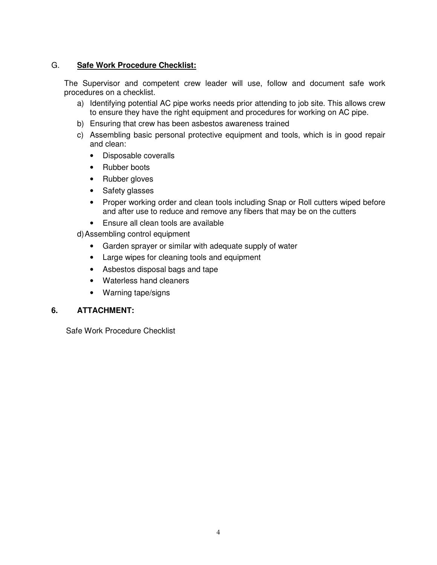## G. **Safe Work Procedure Checklist:**

The Supervisor and competent crew leader will use, follow and document safe work procedures on a checklist.

- a) Identifying potential AC pipe works needs prior attending to job site. This allows crew to ensure they have the right equipment and procedures for working on AC pipe.
- b) Ensuring that crew has been asbestos awareness trained
- c) Assembling basic personal protective equipment and tools, which is in good repair and clean:
	- Disposable coveralls
	- Rubber boots
	- Rubber gloves
	- Safety glasses
	- Proper working order and clean tools including Snap or Roll cutters wiped before and after use to reduce and remove any fibers that may be on the cutters
	- Ensure all clean tools are available

d) Assembling control equipment

- Garden sprayer or similar with adequate supply of water
- Large wipes for cleaning tools and equipment
- Asbestos disposal bags and tape
- Waterless hand cleaners
- Warning tape/signs

## **6. ATTACHMENT:**

Safe Work Procedure Checklist